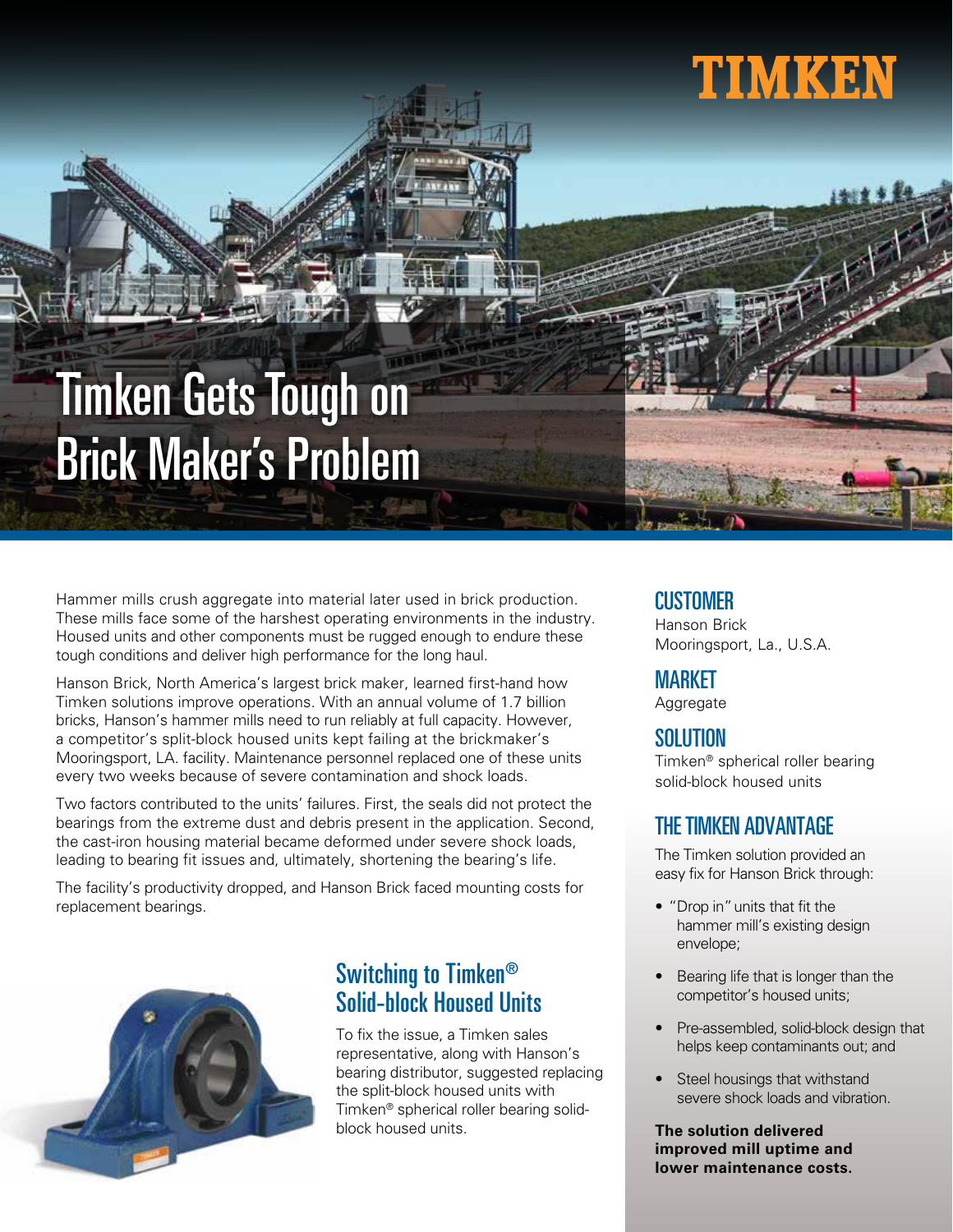# **TIMKEN**

## Timken Gets Tough on Brick Maker's Problem

Hammer mills crush aggregate into material later used in brick production. These mills face some of the harshest operating environments in the industry. Housed units and other components must be rugged enough to endure these tough conditions and deliver high performance for the long haul.

Hanson Brick, North America's largest brick maker, learned first-hand how Timken solutions improve operations. With an annual volume of 1.7 billion bricks, Hanson's hammer mills need to run reliably at full capacity. However, a competitor's split-block housed units kept failing at the brickmaker's Mooringsport, LA. facility. Maintenance personnel replaced one of these units every two weeks because of severe contamination and shock loads.

Two factors contributed to the units' failures. First, the seals did not protect the bearings from the extreme dust and debris present in the application. Second, the cast-iron housing material became deformed under severe shock loads, leading to bearing fit issues and, ultimately, shortening the bearing's life.

The facility's productivity dropped, and Hanson Brick faced mounting costs for replacement bearings.



### Switching to Timken $^\circledR$ Solid-block Housed Units

To fix the issue, a Timken sales representative, along with Hanson's bearing distributor, suggested replacing the split-block housed units with Timken® spherical roller bearing solidblock housed units.

#### **CUSTOMER**

Hanson Brick Mooringsport, La., U.S.A.

#### MARKET

**Aggregate** 

#### SOLUTION

Timken® spherical roller bearing solid-block housed units

#### THE TIMKEN ADVANTAGE

The Timken solution provided an easy fix for Hanson Brick through:

- "Drop in" units that fit the hammer mill's existing design envelope;
- Bearing life that is longer than the competitor's housed units;
- Pre-assembled, solid-block design that helps keep contaminants out; and
- Steel housings that withstand severe shock loads and vibration.

**The solution delivered improved mill uptime and lower maintenance costs.**